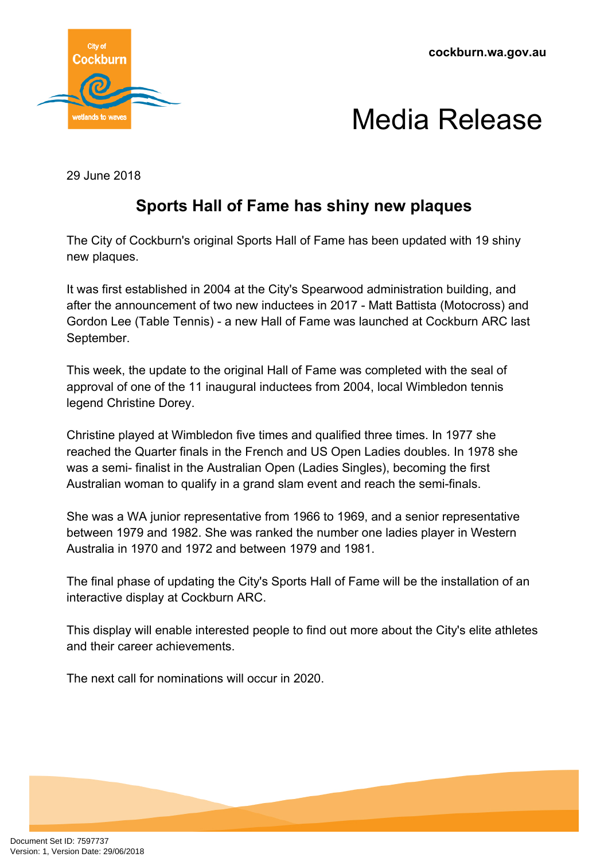**cockburn.wa.gov.au**



## Media Release

29 June 2018

### **Sports Hall of Fame has shiny new plaques**

The City of Cockburn's original Sports Hall of Fame has been updated with 19 shiny new plaques.

It was first established in 2004 at the City's Spearwood administration building, and after the announcement of two new inductees in 2017 - Matt Battista (Motocross) and Gordon Lee (Table Tennis) - a new Hall of Fame was launched at Cockburn ARC last September.

This week, the update to the original Hall of Fame was completed with the seal of approval of one of the 11 inaugural inductees from 2004, local Wimbledon tennis legend Christine Dorey.

Christine played at Wimbledon five times and qualified three times. In 1977 she reached the Quarter finals in the French and US Open Ladies doubles. In 1978 she was a semi- finalist in the Australian Open (Ladies Singles), becoming the first Australian woman to qualify in a grand slam event and reach the semi-finals.

She was a WA junior representative from 1966 to 1969, and a senior representative between 1979 and 1982. She was ranked the number one ladies player in Western Australia in 1970 and 1972 and between 1979 and 1981.

The final phase of updating the City's Sports Hall of Fame will be the installation of an interactive display at Cockburn ARC.

This display will enable interested people to find out more about the City's elite athletes and their career achievements.

The next call for nominations will occur in 2020.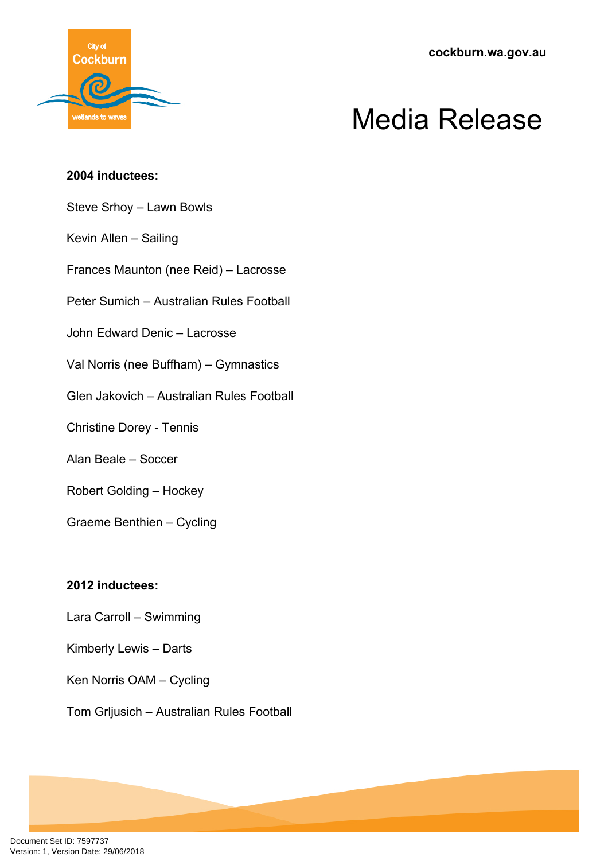**cockburn.wa.gov.au**



# Media Release

#### **2004 inductees:**

Steve Srhoy – Lawn Bowls

Kevin Allen – Sailing

Frances Maunton (nee Reid) – Lacrosse

Peter Sumich – Australian Rules Football

John Edward Denic – Lacrosse

Val Norris (nee Buffham) – Gymnastics

Glen Jakovich – Australian Rules Football

Christine Dorey - Tennis

Alan Beale – Soccer

Robert Golding – Hockey

Graeme Benthien – Cycling

### **2012 inductees:**

Lara Carroll – Swimming

Kimberly Lewis – Darts

Ken Norris OAM – Cycling

Tom Grljusich – Australian Rules Football

Document Set ID: 7597737<br>Version: 1, Version Date: 29/06/2018